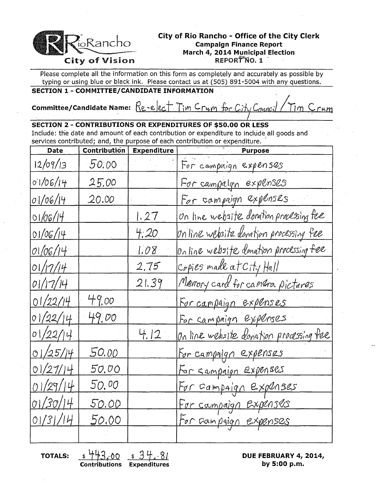

### City of Rio Rancho - Office of the City Clerk **Campaign Finance Report** March 4, 2014 Municipal Election REPORTNO. 1

Please complete all the information on this form as completely and accurately as possible by typing or using blue or black ink. Please contact us at (505) 891-5004 with any questions.

## SECTION 1 - COMMITTEE/CANDIDATE INFORMATION

**Committee/Candidate Name:**  $Re$ -elect Tim Crum for City Counc Tim Crum

## **SECTION 2 - CONTRIBUTIONS OR EXPENDITURES OF \$50.00 OR LESS**

Include: the date and amount of each contribution or expenditure to include all goods and services contributed; and, the purpose of each contribution or expenditure.

| <b>Date</b> | Contribution | <b>Expenditure</b> | <b>Purpose</b>                          |
|-------------|--------------|--------------------|-----------------------------------------|
| 12/09/13    | 50.00        |                    | For campaign expenses                   |
| 01/06/14    | 25,00        |                    | For campaign expenses                   |
| 01/06/14    | 20.00        |                    | For campaign expenses                   |
| 01/06/14    |              | 1.27               | On line website donation processing fee |
| 01/06/14    |              | 4.20               | Online website donation processing fee  |
| 01/06/14    |              | 1.08               | Online website donation processing fee  |
| 01/17/14    |              | 2.75               | Copies made at City Hall                |
| 01/17/14    |              | 21.39              | Memory card for camera pictures         |
| 01/22/14    | 49.00        |                    | For campaign expenses                   |
| 01/22/14    | 49.00        |                    | For campaign expenses                   |
| 01/22/14    |              | 4.12               | On line website donation processing fee |
| 01/25/14    | <u>50.00</u> |                    | <u>For campaign expenses</u>            |
| 01/27/14    | 50.00        |                    | For campaign expenses                   |
| 01/29/14    | 50.00        |                    | For campaign expenses                   |
| 01/30/14    | 50.00        |                    | For compaign Expenses                   |
| 01/31/14    | 50.00        |                    | for Gampaign expenses                   |
|             |              |                    |                                         |

**TOTALS:** 

**Contributions Expenditures** 

DUE FEBRUARY 4, 2014, by 5:00 p.m.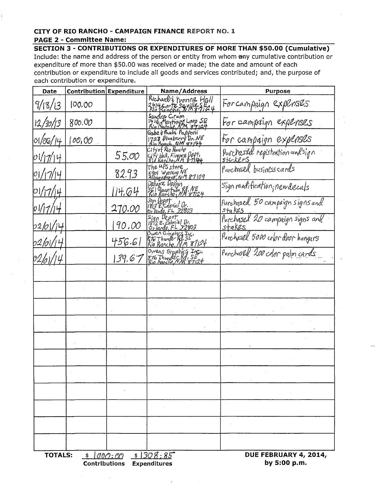# CITY OF RIO RANCHO - CAMPAIGN FINANCE REPORT NO. 1

#### **PAGE 2 - Committee Name:**

SECTION 3 - CONTRIBUTIONS OR EXPENDITURES OF MORE THAN \$50.00 (Cumulative) Include: the name and address of the person or entity from whom any cumulative contribution or expenditure of more than \$50.00 was received or made; the date and amount of each contribution or expenditure to include all goods and services contributed; and, the purpose of each contribution or expenditure.

| Date                                                             | Contribution Expenditure |        | Name/Address                                                              | Purpose                           |  |  |
|------------------------------------------------------------------|--------------------------|--------|---------------------------------------------------------------------------|-----------------------------------|--|--|
| 9/18/13                                                          | 00.00                    |        | Richard & Yvonne Hall<br>2414 corte Seville SE24<br>Rio Bancho, NA 8-7124 | Forcampaign expenses              |  |  |
| 12/30/13                                                         | 800.00                   |        | Sandra Cirum<br>1416 Martiang Loep SE<br>Rio Repola MM 87124              | For campaign explanses            |  |  |
| 01/06/14                                                         | $O O_1 O O$              |        | Gobe y lisula Papfoni<br>1728 Blueberry Dr. NE<br>Rio Roman NM 87144      | For campaign expenses             |  |  |
| 01/17/14                                                         |                          | 55.00  | City of Rio Rancho<br>City Hall, Finore Deft.<br>Rid Kancho, NM 8-11994   | Purchased registration and sign   |  |  |
| 17/14                                                            |                          | 82.93  | The UPS store<br>5901 Wyoming NE<br>Albugnergue, NM 87109                 | Purchased business cards          |  |  |
| 01/17/14                                                         |                          | 14.64  | Deluxe Design<br>rr<br>561 Grantum P.A. N.H<br>Rip Rarcho, N.M. 87124     | Sign modification, new decals     |  |  |
|                                                                  |                          | 270.00 | .<br>1813 E.Colonial Or.<br>Orlando, FL 32803                             | Purchased 50 campaign signs and   |  |  |
| 02/01,                                                           |                          | 90.00  | Sign Depot<br>1813 E. Colonial Dr.<br>Orlando, FL 32803                   | Purchased 20 campaign signs and   |  |  |
| 02/01,                                                           |                          | 456.61 | Owen Graphics Inc.<br>STG Thunder Rd. SE<br>Rio Ranchy, NM 87124          | Purchasel 5000 color door hangars |  |  |
|                                                                  |                          | 139.67 | Owens Graphics Inc.<br>876 Thunser Rd, SE<br>Bio Romono, NM 87124         | Purchosed 200 color palm cards    |  |  |
|                                                                  |                          |        |                                                                           |                                   |  |  |
|                                                                  |                          |        |                                                                           |                                   |  |  |
|                                                                  |                          |        |                                                                           |                                   |  |  |
|                                                                  |                          |        |                                                                           |                                   |  |  |
|                                                                  |                          |        |                                                                           |                                   |  |  |
|                                                                  |                          |        |                                                                           |                                   |  |  |
|                                                                  |                          |        |                                                                           |                                   |  |  |
|                                                                  |                          |        |                                                                           |                                   |  |  |
|                                                                  |                          |        |                                                                           |                                   |  |  |
|                                                                  |                          |        |                                                                           |                                   |  |  |
|                                                                  |                          |        |                                                                           |                                   |  |  |
| $$1000:00$ $$1308:85$<br><b>TOTALS:</b><br>DUE FEBRUARY 4, 2014, |                          |        |                                                                           |                                   |  |  |

**Contributions Expenditures** 

by 5:00 p.m.